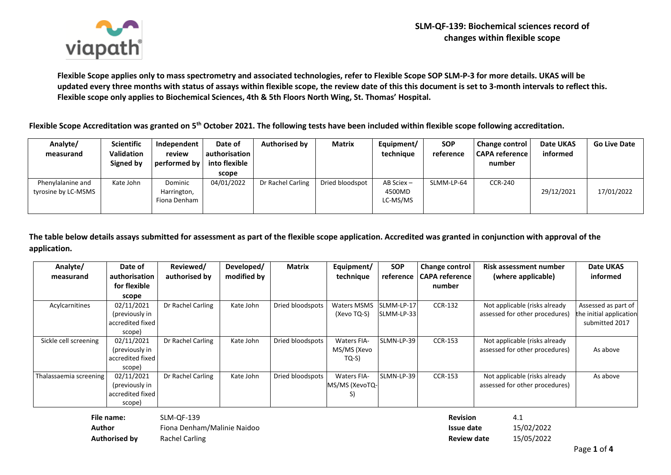

**Flexible Scope applies only to mass spectrometry and associated technologies, refer to Flexible Scope SOP SLM-P-3 for more details. UKAS will be updated every three months with status of assays within flexible scope, the review date of this this document is set to 3-month intervals to reflect this. Flexible scope only applies to Biochemical Sciences, 4th & 5th Floors North Wing, St. Thomas' Hospital.**

**Flexible Scope Accreditation was granted on 5th October 2021. The following tests have been included within flexible scope following accreditation.**

| Analyte/<br>measurand                    | <b>Scientific</b><br><b>Validation</b><br>Signed by | Independent<br>review<br>performed by  | Date of<br>authorisation I<br>into flexible<br>scope | <b>Authorised by</b> | <b>Matrix</b>   | Equipment/<br>technique          | <b>SOP</b><br>reference | Change control<br><b>CAPA reference</b><br>number | <b>Date UKAS</b><br>informed | <b>Go Live Date</b> |
|------------------------------------------|-----------------------------------------------------|----------------------------------------|------------------------------------------------------|----------------------|-----------------|----------------------------------|-------------------------|---------------------------------------------------|------------------------------|---------------------|
| Phenylalanine and<br>tyrosine by LC-MSMS | Kate John                                           | Dominic<br>Harrington,<br>Fiona Denham | 04/01/2022                                           | Dr Rachel Carling    | Dried bloodspot | AB Sciex -<br>4500MD<br>LC-MS/MS | SLMM-LP-64              | <b>CCR-240</b>                                    | 29/12/2021                   | 17/01/2022          |

**The table below details assays submitted for assessment as part of the flexible scope application. Accredited was granted in conjunction with approval of the application.** 

| Analyte/               | Date of          | Reviewed/         | Developed/  | <b>Matrix</b>    | Equipment/         | <b>SOP</b> | <b>Change control</b> | <b>Risk assessment number</b>  | Date UKAS               |
|------------------------|------------------|-------------------|-------------|------------------|--------------------|------------|-----------------------|--------------------------------|-------------------------|
| measurand              | authorisation    | authorised by     | modified by |                  | technique          | reference  | <b>CAPA reference</b> | (where applicable)             | informed                |
|                        | for flexible     |                   |             |                  |                    |            | number                |                                |                         |
|                        | scope            |                   |             |                  |                    |            |                       |                                |                         |
| Acylcarnitines         | 02/11/2021       | Dr Rachel Carling | Kate John   | Dried bloodspots | <b>Waters MSMS</b> | SLMM-LP-17 | <b>CCR-132</b>        | Not applicable (risks already  | Assessed as part of     |
|                        | (previously in   |                   |             |                  | (Xevo TQ-S)        | SLMM-LP-33 |                       | assessed for other procedures) | the initial application |
|                        | accredited fixed |                   |             |                  |                    |            |                       |                                | submitted 2017          |
|                        | scope)           |                   |             |                  |                    |            |                       |                                |                         |
| Sickle cell screening  | 02/11/2021       | Dr Rachel Carling | Kate John   | Dried bloodspots | <b>Waters FIA-</b> | SLMN-LP-39 | <b>CCR-153</b>        | Not applicable (risks already  |                         |
|                        | (previously in   |                   |             |                  | MS/MS (Xevo        |            |                       | assessed for other procedures) | As above                |
|                        | accredited fixed |                   |             |                  | $TO-S$             |            |                       |                                |                         |
|                        | scope)           |                   |             |                  |                    |            |                       |                                |                         |
| Thalassaemia screening | 02/11/2021       | Dr Rachel Carling | Kate John   | Dried bloodspots | <b>Waters FIA-</b> | SLMN-LP-39 | <b>CCR-153</b>        | Not applicable (risks already  | As above                |
|                        | (previously in   |                   |             |                  | MS/MS (XevoTQ-     |            |                       | assessed for other procedures) |                         |
|                        | accredited fixed |                   |             |                  | S                  |            |                       |                                |                         |
|                        | scope)           |                   |             |                  |                    |            |                       |                                |                         |

| File name:           | SLM-OF-139                  | <b>Revision</b> | 4.1        |
|----------------------|-----------------------------|-----------------|------------|
| Author               | Fiona Denham/Malinie Naidoo | Issue date      | 15/02/2022 |
| <b>Authorised by</b> | Rachel Carling              | Review date     | 15/05/2022 |

| Revision    | 4.1        |
|-------------|------------|
| Issue date  | 15/02/2022 |
| Review date | 15/05/2022 |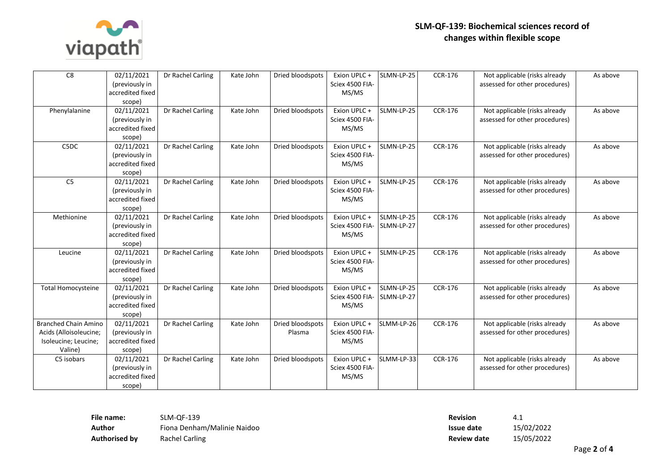

| C8                          | 02/11/2021<br>(previously in       | Dr Rachel Carling | Kate John | Dried bloodspots | Exion UPLC+<br>Sciex 4500 FIA- | SLMN-LP-25 | <b>CCR-176</b> | Not applicable (risks already<br>assessed for other procedures) | As above |
|-----------------------------|------------------------------------|-------------------|-----------|------------------|--------------------------------|------------|----------------|-----------------------------------------------------------------|----------|
|                             | accredited fixed                   |                   |           |                  | MS/MS                          |            |                |                                                                 |          |
|                             | scope)                             |                   |           |                  |                                |            |                |                                                                 |          |
| Phenylalanine               | 02/11/2021                         | Dr Rachel Carling | Kate John | Dried bloodspots | Exion UPLC +                   | SLMN-LP-25 | CCR-176        | Not applicable (risks already                                   | As above |
|                             | (previously in                     |                   |           |                  | Sciex 4500 FIA-                |            |                | assessed for other procedures)                                  |          |
|                             | accredited fixed                   |                   |           |                  | MS/MS                          |            |                |                                                                 |          |
|                             | scope)                             |                   |           |                  |                                |            |                |                                                                 |          |
| C5DC                        | 02/11/2021                         | Dr Rachel Carling | Kate John | Dried bloodspots | Exion UPLC +                   | SLMN-LP-25 | CCR-176        | Not applicable (risks already                                   | As above |
|                             | (previously in                     |                   |           |                  | Sciex 4500 FIA-                |            |                | assessed for other procedures)                                  |          |
|                             | accredited fixed                   |                   |           |                  | MS/MS                          |            |                |                                                                 |          |
|                             | scope)                             |                   |           |                  |                                |            |                |                                                                 |          |
| C <sub>5</sub>              | 02/11/2021                         | Dr Rachel Carling | Kate John | Dried bloodspots | Exion UPLC +                   | SLMN-LP-25 | CCR-176        | Not applicable (risks already                                   | As above |
|                             | (previously in                     |                   |           |                  | Sciex 4500 FIA-                |            |                | assessed for other procedures)                                  |          |
|                             | accredited fixed                   |                   |           |                  | MS/MS                          |            |                |                                                                 |          |
|                             | scope)                             |                   |           |                  |                                |            |                |                                                                 |          |
| Methionine                  | 02/11/2021                         | Dr Rachel Carling | Kate John | Dried bloodspots | Exion UPLC +                   | SLMN-LP-25 | <b>CCR-176</b> | Not applicable (risks already                                   | As above |
|                             | (previously in                     |                   |           |                  | Sciex 4500 FIA-                | SLMN-LP-27 |                | assessed for other procedures)                                  |          |
|                             | accredited fixed                   |                   |           |                  | MS/MS                          |            |                |                                                                 |          |
|                             | scope)                             |                   |           |                  |                                |            |                |                                                                 |          |
| Leucine                     | 02/11/2021                         | Dr Rachel Carling | Kate John | Dried bloodspots | Exion UPLC +                   | SLMN-LP-25 | <b>CCR-176</b> | Not applicable (risks already                                   | As above |
|                             | (previously in                     |                   |           |                  | Sciex 4500 FIA-                |            |                | assessed for other procedures)                                  |          |
|                             | accredited fixed                   |                   |           |                  | MS/MS                          |            |                |                                                                 |          |
|                             | scope)                             |                   |           |                  |                                |            |                |                                                                 |          |
| <b>Total Homocysteine</b>   | 02/11/2021                         | Dr Rachel Carling | Kate John | Dried bloodspots | Exion UPLC +                   | SLMN-LP-25 | CCR-176        | Not applicable (risks already                                   | As above |
|                             | (previously in                     |                   |           |                  | Sciex 4500 FIA-                | SLMN-LP-27 |                | assessed for other procedures)                                  |          |
|                             | accredited fixed                   |                   |           |                  | MS/MS                          |            |                |                                                                 |          |
|                             | scope)                             |                   |           |                  |                                |            |                |                                                                 |          |
| <b>Branched Chain Amino</b> | 02/11/2021                         | Dr Rachel Carling | Kate John | Dried bloodspots | Exion UPLC +                   | SLMM-LP-26 | CCR-176        | Not applicable (risks already                                   | As above |
| Acids (Alloisoleucine;      | (previously in                     |                   |           | Plasma           | Sciex 4500 FIA-                |            |                | assessed for other procedures)                                  |          |
| Isoleucine; Leucine;        | accredited fixed                   |                   |           |                  | MS/MS                          |            |                |                                                                 |          |
| Valine)                     | scope)                             |                   |           |                  |                                |            |                |                                                                 |          |
| C5 isobars                  | 02/11/2021                         | Dr Rachel Carling | Kate John | Dried bloodspots | Exion UPLC +                   | SLMM-LP-33 | <b>CCR-176</b> | Not applicable (risks already                                   | As above |
|                             | (previously in<br>accredited fixed |                   |           |                  | Sciex 4500 FIA-                |            |                | assessed for other procedures)                                  |          |
|                             |                                    |                   |           |                  | MS/MS                          |            |                |                                                                 |          |
|                             | scope)                             |                   |           |                  |                                |            |                |                                                                 |          |

**File name:** SLM-QF-139 **Revision** 4.1 Author Fiona Denham/Malinie Naidoo **Authorised by** Rachel Carling

| <b>Revision</b>    | 4.1        |
|--------------------|------------|
| Issue date         | 15/02/2022 |
| <b>Review date</b> | 15/05/2022 |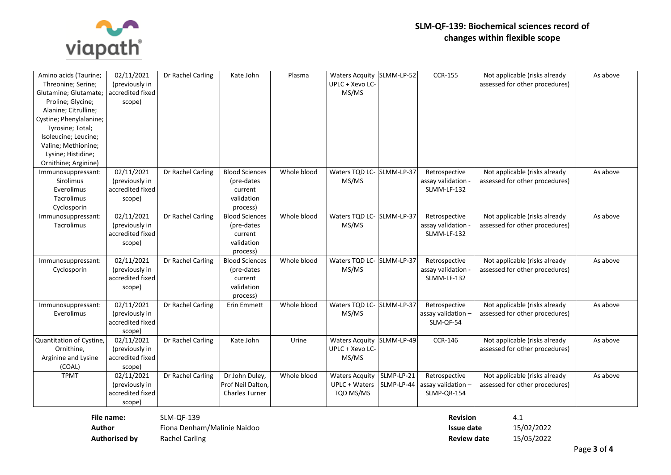

| Amino acids (Taurine;<br>Threonine; Serine;<br>Glutamine; Glutamate;<br>Proline; Glycine;<br>Alanine; Citrulline;<br>Cystine; Phenylalanine;<br>Tyrosine; Total;<br>Isoleucine; Leucine;<br>Valine; Methionine;<br>Lysine; Histidine;<br>Ornithine; Arginine) | 02/11/2021<br>(previously in<br>accredited fixed<br>scope) | Dr Rachel Carling | Kate John                                                                | Plasma      | <b>Waters Acquity</b><br>UPLC + Xevo LC-<br>MS/MS          | SLMM-LP-52               | <b>CCR-155</b>                                     | Not applicable (risks already<br>assessed for other procedures) | As above |
|---------------------------------------------------------------------------------------------------------------------------------------------------------------------------------------------------------------------------------------------------------------|------------------------------------------------------------|-------------------|--------------------------------------------------------------------------|-------------|------------------------------------------------------------|--------------------------|----------------------------------------------------|-----------------------------------------------------------------|----------|
| Immunosuppressant:<br>Sirolimus<br>Everolimus<br>Tacrolimus<br>Cyclosporin                                                                                                                                                                                    | 02/11/2021<br>(previously in<br>accredited fixed<br>scope) | Dr Rachel Carling | <b>Blood Sciences</b><br>(pre-dates<br>current<br>validation<br>process) | Whole blood | Waters TQD LC- SLMM-LP-37<br>MS/MS                         |                          | Retrospective<br>assay validation<br>SLMM-LF-132   | Not applicable (risks already<br>assessed for other procedures) | As above |
| Immunosuppressant:<br>Tacrolimus                                                                                                                                                                                                                              | 02/11/2021<br>(previously in<br>accredited fixed<br>scope) | Dr Rachel Carling | <b>Blood Sciences</b><br>(pre-dates<br>current<br>validation<br>process) | Whole blood | Waters TQD LC- SLMM-LP-37<br>MS/MS                         |                          | Retrospective<br>assay validation<br>SLMM-LF-132   | Not applicable (risks already<br>assessed for other procedures) | As above |
| Immunosuppressant:<br>Cyclosporin                                                                                                                                                                                                                             | 02/11/2021<br>(previously in<br>accredited fixed<br>scope) | Dr Rachel Carling | <b>Blood Sciences</b><br>(pre-dates<br>current<br>validation<br>process) | Whole blood | Waters TQD LC- SLMM-LP-37<br>MS/MS                         |                          | Retrospective<br>assay validation<br>SLMM-LF-132   | Not applicable (risks already<br>assessed for other procedures) | As above |
| Immunosuppressant:<br>Everolimus                                                                                                                                                                                                                              | 02/11/2021<br>(previously in<br>accredited fixed<br>scope) | Dr Rachel Carling | <b>Erin Emmett</b>                                                       | Whole blood | Waters TQD LC- SLMM-LP-37<br>MS/MS                         |                          | Retrospective<br>assay validation -<br>SLM-QF-54   | Not applicable (risks already<br>assessed for other procedures) | As above |
| Quantitation of Cystine,<br>Ornithine,<br>Arginine and Lysine<br>(COAL)                                                                                                                                                                                       | 02/11/2021<br>(previously in<br>accredited fixed<br>scope) | Dr Rachel Carling | Kate John                                                                | Urine       | <b>Waters Acquity</b><br>UPLC + Xevo LC-<br>MS/MS          | SLMM-LP-49               | <b>CCR-146</b>                                     | Not applicable (risks already<br>assessed for other procedures) | As above |
| <b>TPMT</b>                                                                                                                                                                                                                                                   | 02/11/2021<br>(previously in<br>accredited fixed<br>scope) | Dr Rachel Carling | Dr John Duley,<br>Prof Neil Dalton,<br><b>Charles Turner</b>             | Whole blood | <b>Waters Acquity</b><br><b>UPLC + Waters</b><br>TQD MS/MS | SLMP-LP-21<br>SLMP-LP-44 | Retrospective<br>assay validation -<br>SLMP-QR-154 | Not applicable (risks already<br>assessed for other procedures) | As above |

**File name:** SLM-QF-139 **Revision** 4.1 Author **Issue data Fiona Denham/Malinie Naidoo Issue date in the Islamic Islamic Islamic Islamic Islamic Islamic Islamic Islamic Islamic Islamic Islamic Islamic Islamic Islamic Islamic Islamic Islamic Islamic Islamic Isl Authorised by** Rachel Carling **Review date** 15/05/2022

| Revision    | 4.1        |
|-------------|------------|
| Issue date  | 15/02/2022 |
| Review date | 15/05/2022 |